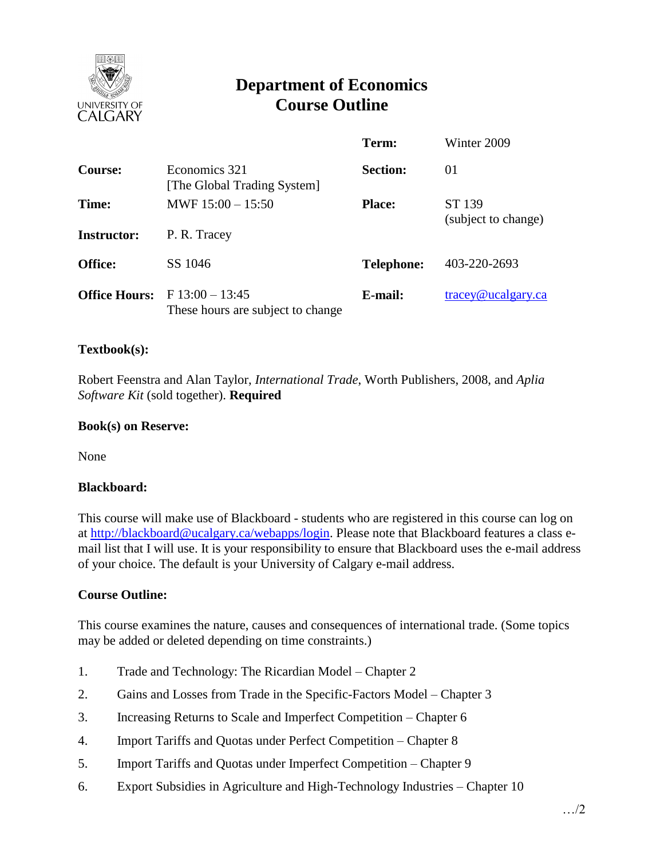

# **Department of Economics Course Outline**

|                      |                                                     | Term:             | Winter 2009                             |
|----------------------|-----------------------------------------------------|-------------------|-----------------------------------------|
| <b>Course:</b>       | Economics 321<br>[The Global Trading System]        | <b>Section:</b>   | 01                                      |
| Time:                | MWF $15:00 - 15:50$                                 | <b>Place:</b>     | ST 139<br>(subject to change)           |
| <b>Instructor:</b>   | P. R. Tracey                                        |                   |                                         |
| <b>Office:</b>       | SS 1046                                             | <b>Telephone:</b> | 403-220-2693                            |
| <b>Office Hours:</b> | $F13:00-13:45$<br>These hours are subject to change | E-mail:           | $trace$ <sub><i>Q</i></sub> ucalgary.ca |

## **Textbook(s):**

Robert Feenstra and Alan Taylor, *International Trade*, Worth Publishers, 2008, and *Aplia Software Kit* (sold together). **Required**

## **Book(s) on Reserve:**

None

#### **Blackboard:**

This course will make use of Blackboard - students who are registered in this course can log on at [http://blackboard@ucalgary.ca/webapps/login.](http://blackboard@ucalgary.ca/webapps/login) Please note that Blackboard features a class email list that I will use. It is your responsibility to ensure that Blackboard uses the e-mail address of your choice. The default is your University of Calgary e-mail address.

# **Course Outline:**

This course examines the nature, causes and consequences of international trade. (Some topics may be added or deleted depending on time constraints.)

- 1. Trade and Technology: The Ricardian Model Chapter 2
- 2. Gains and Losses from Trade in the Specific-Factors Model Chapter 3
- 3. Increasing Returns to Scale and Imperfect Competition Chapter 6
- 4. Import Tariffs and Quotas under Perfect Competition Chapter 8
- 5. Import Tariffs and Quotas under Imperfect Competition Chapter 9
- 6. Export Subsidies in Agriculture and High-Technology Industries Chapter 10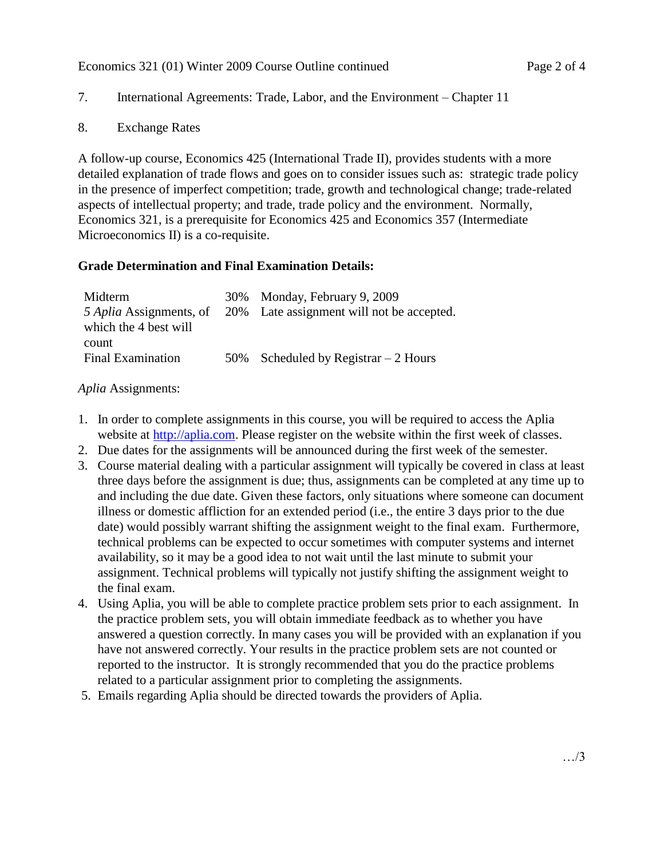# 7. International Agreements: Trade, Labor, and the Environment – Chapter 11

8. Exchange Rates

A follow-up course, Economics 425 (International Trade II), provides students with a more detailed explanation of trade flows and goes on to consider issues such as: strategic trade policy in the presence of imperfect competition; trade, growth and technological change; trade-related aspects of intellectual property; and trade, trade policy and the environment. Normally, Economics 321, is a prerequisite for Economics 425 and Economics 357 (Intermediate Microeconomics II) is a co-requisite.

## **Grade Determination and Final Examination Details:**

| Midterm                  | 30% Monday, February 9, 2009                                      |
|--------------------------|-------------------------------------------------------------------|
|                          | 5 Aplia Assignments, of 20% Late assignment will not be accepted. |
| which the 4 best will    |                                                                   |
| count                    |                                                                   |
| <b>Final Examination</b> | 50% Scheduled by Registrar $-2$ Hours                             |
|                          |                                                                   |

*Aplia* Assignments:

- 1. In order to complete assignments in this course, you will be required to access the Aplia website at [http://aplia.com.](http://aplia.com/) Please register on the website within the first week of classes.
- 2. Due dates for the assignments will be announced during the first week of the semester.
- 3. Course material dealing with a particular assignment will typically be covered in class at least three days before the assignment is due; thus, assignments can be completed at any time up to and including the due date. Given these factors, only situations where someone can document illness or domestic affliction for an extended period (i.e., the entire 3 days prior to the due date) would possibly warrant shifting the assignment weight to the final exam. Furthermore, technical problems can be expected to occur sometimes with computer systems and internet availability, so it may be a good idea to not wait until the last minute to submit your assignment. Technical problems will typically not justify shifting the assignment weight to the final exam.
- 4. Using Aplia, you will be able to complete practice problem sets prior to each assignment. In the practice problem sets, you will obtain immediate feedback as to whether you have answered a question correctly. In many cases you will be provided with an explanation if you have not answered correctly. Your results in the practice problem sets are not counted or reported to the instructor. It is strongly recommended that you do the practice problems related to a particular assignment prior to completing the assignments.
- 5. Emails regarding Aplia should be directed towards the providers of Aplia.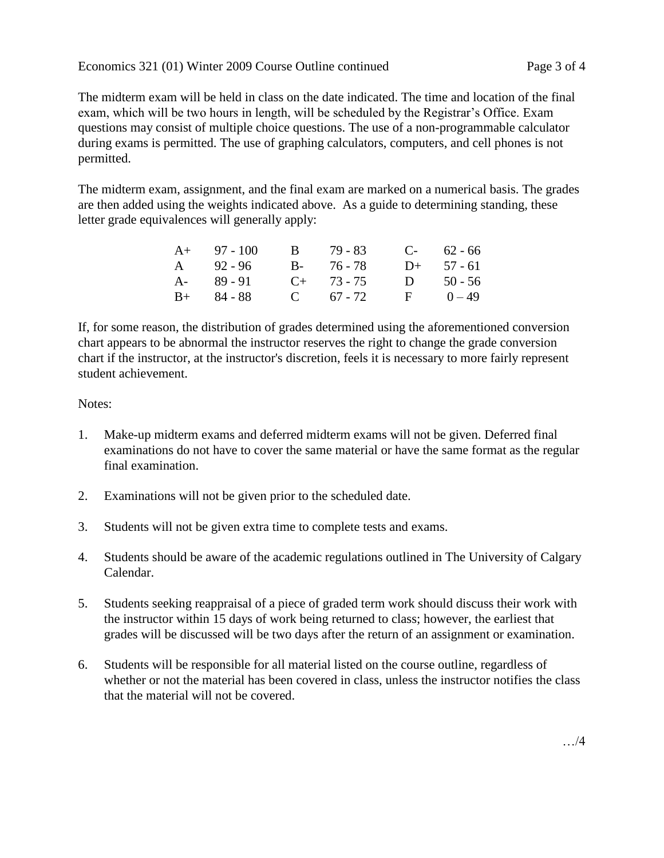Economics 321 (01) Winter 2009 Course Outline continued Page 3 of 4

The midterm exam will be held in class on the date indicated. The time and location of the final exam, which will be two hours in length, will be scheduled by the Registrar's Office. Exam questions may consist of multiple choice questions. The use of a non-programmable calculator during exams is permitted. The use of graphing calculators, computers, and cell phones is not permitted.

The midterm exam, assignment, and the final exam are marked on a numerical basis. The grades are then added using the weights indicated above. As a guide to determining standing, these letter grade equivalences will generally apply:

| $A+ 97 - 100$ | B 79 - 83       |            | $C-$ 62 - 66 |
|---------------|-----------------|------------|--------------|
| A 92-96       | B- 76-78        |            | $D+ 57 - 61$ |
| A- 89-91      | $C_{+}$ 73 - 75 |            | D $50 - 56$  |
| $B+ 84 - 88$  | C $67 - 72$     | $F = 0-49$ |              |

If, for some reason, the distribution of grades determined using the aforementioned conversion chart appears to be abnormal the instructor reserves the right to change the grade conversion chart if the instructor, at the instructor's discretion, feels it is necessary to more fairly represent student achievement.

Notes:

- 1. Make-up midterm exams and deferred midterm exams will not be given. Deferred final examinations do not have to cover the same material or have the same format as the regular final examination.
- 2. Examinations will not be given prior to the scheduled date.
- 3. Students will not be given extra time to complete tests and exams.
- 4. Students should be aware of the academic regulations outlined in The University of Calgary Calendar.
- 5. Students seeking reappraisal of a piece of graded term work should discuss their work with the instructor within 15 days of work being returned to class; however, the earliest that grades will be discussed will be two days after the return of an assignment or examination.
- 6. Students will be responsible for all material listed on the course outline, regardless of whether or not the material has been covered in class, unless the instructor notifies the class that the material will not be covered.